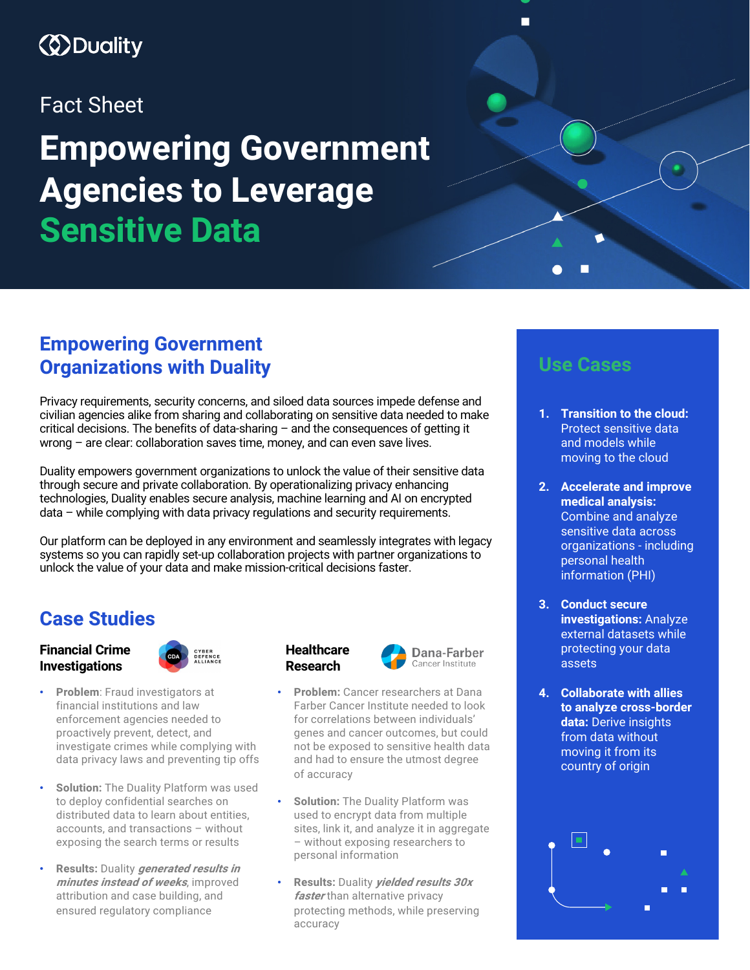## *<u>ODuality</u>*

### Fact Sheet

# **Empowering Government Agencies to Leverage Sensitive Data**

### **Empowering Government Organizations with Duality**

Privacy requirements, security concerns, and siloed data sources impede defense and civilian agencies alike from sharing and collaborating on sensitive data needed to make critical decisions. The benefits of data-sharing – and the consequences of getting it wrong – are clear: collaboration saves time, money, and can even save lives.

Duality empowers government organizations to unlock the value of their sensitive data through secure and private collaboration. By operationalizing privacy enhancing technologies, Duality enables secure analysis, machine learning and AI on encrypted data – while complying with data privacy regulations and security requirements.

Our platform can be deployed in any environment and seamlessly integrates with legacy systems so you can rapidly set-up collaboration projects with partner organizations to unlock the value of your data and make mission-critical decisions faster.

### **Case Studies**

#### **Financial Crime Investigations**



- **Problem:** Fraud investigators at financial institutions and law enforcement agencies needed to proactively prevent, detect, and investigate crimes while complying with data privacy laws and preventing tip offs
- **Solution:** The Duality Platform was used to deploy confidential searches on distributed data to learn about entities, accounts, and transactions – without exposing the search terms or results
- **Results:** Duality **generated results in minutes instead of weeks**, improved attribution and case building, and ensured regulatory compliance





- **Problem:** Cancer researchers at Dana Farber Cancer Institute needed to look for correlations between individuals' genes and cancer outcomes, but could not be exposed to sensitive health data and had to ensure the utmost degree of accuracy
- **Solution:** The Duality Platform was used to encrypt data from multiple sites, link it, and analyze it in aggregate – without exposing researchers to personal information
- **Results:** Duality **yielded results 30x faster** than alternative privacy protecting methods, while preserving accuracy

### **Use Cases**

 $\blacksquare$ 

- **1. Transition to the cloud:**  Protect sensitive data and models while moving to the cloud
- **2. Accelerate and improve medical analysis:** Combine and analyze sensitive data across organizations - including personal health information (PHI)
- **3. Conduct secure investigations:** Analyze external datasets while protecting your data assets
- **4. Collaborate with allies to analyze cross-border data:** Derive insights from data without moving it from its country of origin